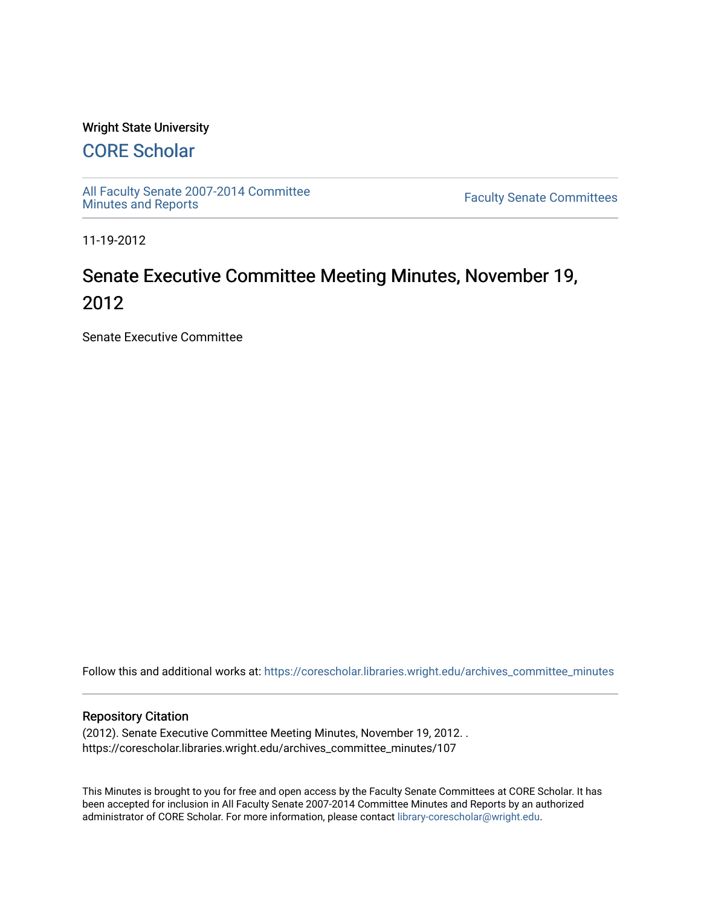### Wright State University

## [CORE Scholar](https://corescholar.libraries.wright.edu/)

[All Faculty Senate 2007-2014 Committee](https://corescholar.libraries.wright.edu/archives_committee_minutes)

**Faculty Senate Committees** 

11-19-2012

# Senate Executive Committee Meeting Minutes, November 19, 2012

Senate Executive Committee

Follow this and additional works at: [https://corescholar.libraries.wright.edu/archives\\_committee\\_minutes](https://corescholar.libraries.wright.edu/archives_committee_minutes?utm_source=corescholar.libraries.wright.edu%2Farchives_committee_minutes%2F107&utm_medium=PDF&utm_campaign=PDFCoverPages) 

#### Repository Citation

(2012). Senate Executive Committee Meeting Minutes, November 19, 2012. . https://corescholar.libraries.wright.edu/archives\_committee\_minutes/107

This Minutes is brought to you for free and open access by the Faculty Senate Committees at CORE Scholar. It has been accepted for inclusion in All Faculty Senate 2007-2014 Committee Minutes and Reports by an authorized administrator of CORE Scholar. For more information, please contact [library-corescholar@wright.edu.](mailto:library-corescholar@wright.edu)